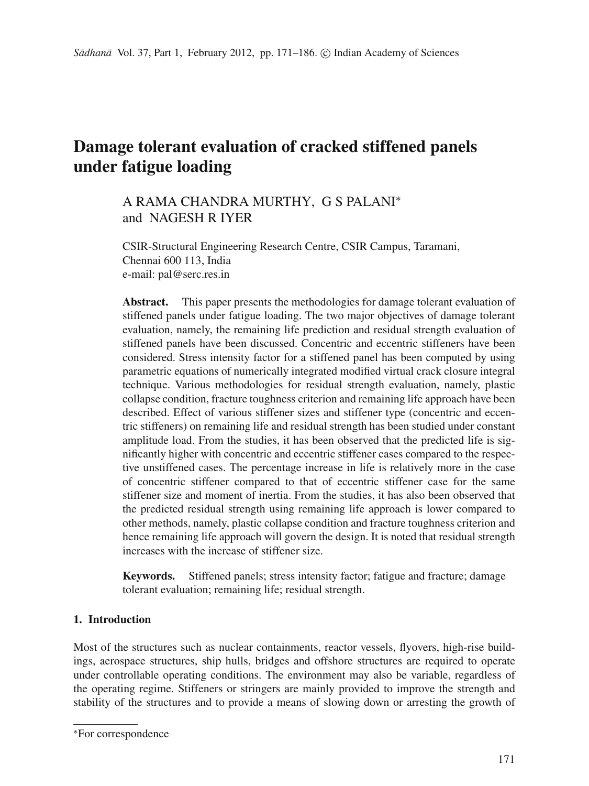# **Damage tolerant evaluation of cracked stiffened panels under fatigue loading**

# A RAMA CHANDRA MURTHY, G S PALANI<sup>∗</sup> and NAGESH R IYER

CSIR-Structural Engineering Research Centre, CSIR Campus, Taramani, Chennai 600 113, India e-mail: pal@serc.res.in

**Abstract.** This paper presents the methodologies for damage tolerant evaluation of stiffened panels under fatigue loading. The two major objectives of damage tolerant evaluation, namely, the remaining life prediction and residual strength evaluation of stiffened panels have been discussed. Concentric and eccentric stiffeners have been considered. Stress intensity factor for a stiffened panel has been computed by using parametric equations of numerically integrated modified virtual crack closure integral technique. Various methodologies for residual strength evaluation, namely, plastic collapse condition, fracture toughness criterion and remaining life approach have been described. Effect of various stiffener sizes and stiffener type (concentric and eccentric stiffeners) on remaining life and residual strength has been studied under constant amplitude load. From the studies, it has been observed that the predicted life is significantly higher with concentric and eccentric stiffener cases compared to the respective unstiffened cases. The percentage increase in life is relatively more in the case of concentric stiffener compared to that of eccentric stiffener case for the same stiffener size and moment of inertia. From the studies, it has also been observed that the predicted residual strength using remaining life approach is lower compared to other methods, namely, plastic collapse condition and fracture toughness criterion and hence remaining life approach will govern the design. It is noted that residual strength increases with the increase of stiffener size.

**Keywords.** Stiffened panels; stress intensity factor; fatigue and fracture; damage tolerant evaluation; remaining life; residual strength.

# **1. Introduction**

Most of the structures such as nuclear containments, reactor vessels, flyovers, high-rise buildings, aerospace structures, ship hulls, bridges and offshore structures are required to operate under controllable operating conditions. The environment may also be variable, regardless of the operating regime. Stiffeners or stringers are mainly provided to improve the strength and stability of the structures and to provide a means of slowing down or arresting the growth of

<sup>∗</sup>For correspondence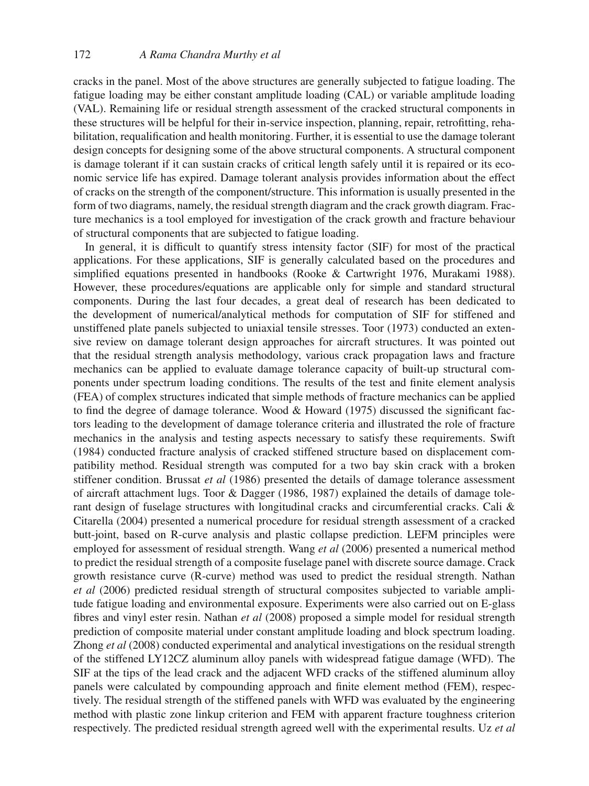cracks in the panel. Most of the above structures are generally subjected to fatigue loading. The fatigue loading may be either constant amplitude loading (CAL) or variable amplitude loading (VAL). Remaining life or residual strength assessment of the cracked structural components in these structures will be helpful for their in-service inspection, planning, repair, retrofitting, rehabilitation, requalification and health monitoring. Further, it is essential to use the damage tolerant design concepts for designing some of the above structural components. A structural component is damage tolerant if it can sustain cracks of critical length safely until it is repaired or its economic service life has expired. Damage tolerant analysis provides information about the effect of cracks on the strength of the component/structure. This information is usually presented in the form of two diagrams, namely, the residual strength diagram and the crack growth diagram. Fracture mechanics is a tool employed for investigation of the crack growth and fracture behaviour of structural components that are subjected to fatigue loading.

In general, it is difficult to quantify stress intensity factor (SIF) for most of the practical applications. For these applications, SIF is generally calculated based on the procedures and simplified equations presented in handbooks (Rooke & Cartwright 1976, Murakami 1988). However, these procedures/equations are applicable only for simple and standard structural components. During the last four decades, a great deal of research has been dedicated to the development of numerical/analytical methods for computation of SIF for stiffened and unstiffened plate panels subjected to uniaxial tensile stresses. Toor (1973) conducted an extensive review on damage tolerant design approaches for aircraft structures. It was pointed out that the residual strength analysis methodology, various crack propagation laws and fracture mechanics can be applied to evaluate damage tolerance capacity of built-up structural components under spectrum loading conditions. The results of the test and finite element analysis (FEA) of complex structures indicated that simple methods of fracture mechanics can be applied to find the degree of damage tolerance. Wood  $&$  Howard (1975) discussed the significant factors leading to the development of damage tolerance criteria and illustrated the role of fracture mechanics in the analysis and testing aspects necessary to satisfy these requirements. Swift (1984) conducted fracture analysis of cracked stiffened structure based on displacement compatibility method. Residual strength was computed for a two bay skin crack with a broken stiffener condition. Brussat *et al* (1986) presented the details of damage tolerance assessment of aircraft attachment lugs. Toor & Dagger (1986, 1987) explained the details of damage tolerant design of fuselage structures with longitudinal cracks and circumferential cracks. Cali & Citarella (2004) presented a numerical procedure for residual strength assessment of a cracked butt-joint, based on R-curve analysis and plastic collapse prediction. LEFM principles were employed for assessment of residual strength. Wang *et al* (2006) presented a numerical method to predict the residual strength of a composite fuselage panel with discrete source damage. Crack growth resistance curve (R-curve) method was used to predict the residual strength. Nathan *et al* (2006) predicted residual strength of structural composites subjected to variable amplitude fatigue loading and environmental exposure. Experiments were also carried out on E-glass fibres and vinyl ester resin. Nathan *et al* (2008) proposed a simple model for residual strength prediction of composite material under constant amplitude loading and block spectrum loading. Zhong *et al* (2008) conducted experimental and analytical investigations on the residual strength of the stiffened LY12CZ aluminum alloy panels with widespread fatigue damage (WFD). The SIF at the tips of the lead crack and the adjacent WFD cracks of the stiffened aluminum alloy panels were calculated by compounding approach and finite element method (FEM), respectively. The residual strength of the stiffened panels with WFD was evaluated by the engineering method with plastic zone linkup criterion and FEM with apparent fracture toughness criterion respectively. The predicted residual strength agreed well with the experimental results. Uz *et al*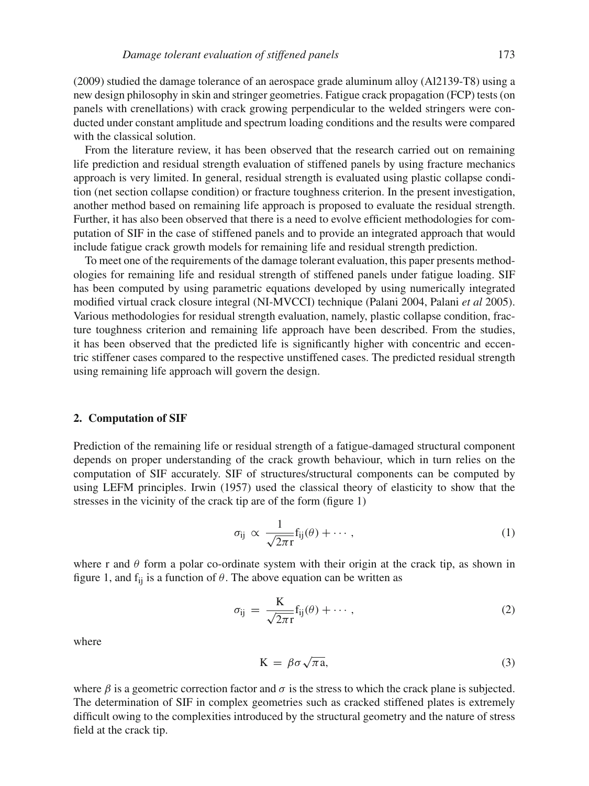(2009) studied the damage tolerance of an aerospace grade aluminum alloy (Al2139-T8) using a new design philosophy in skin and stringer geometries. Fatigue crack propagation (FCP) tests (on panels with crenellations) with crack growing perpendicular to the welded stringers were conducted under constant amplitude and spectrum loading conditions and the results were compared with the classical solution.

From the literature review, it has been observed that the research carried out on remaining life prediction and residual strength evaluation of stiffened panels by using fracture mechanics approach is very limited. In general, residual strength is evaluated using plastic collapse condition (net section collapse condition) or fracture toughness criterion. In the present investigation, another method based on remaining life approach is proposed to evaluate the residual strength. Further, it has also been observed that there is a need to evolve efficient methodologies for computation of SIF in the case of stiffened panels and to provide an integrated approach that would include fatigue crack growth models for remaining life and residual strength prediction.

To meet one of the requirements of the damage tolerant evaluation, this paper presents methodologies for remaining life and residual strength of stiffened panels under fatigue loading. SIF has been computed by using parametric equations developed by using numerically integrated modified virtual crack closure integral (NI-MVCCI) technique (Palani 2004, Palani *et al* 2005). Various methodologies for residual strength evaluation, namely, plastic collapse condition, fracture toughness criterion and remaining life approach have been described. From the studies, it has been observed that the predicted life is significantly higher with concentric and eccentric stiffener cases compared to the respective unstiffened cases. The predicted residual strength using remaining life approach will govern the design.

# **2. Computation of SIF**

Prediction of the remaining life or residual strength of a fatigue-damaged structural component depends on proper understanding of the crack growth behaviour, which in turn relies on the computation of SIF accurately. SIF of structures/structural components can be computed by using LEFM principles. Irwin (1957) used the classical theory of elasticity to show that the stresses in the vicinity of the crack tip are of the form (figure 1)

$$
\sigma_{ij} \propto \frac{1}{\sqrt{2\pi}r} f_{ij}(\theta) + \cdots, \qquad (1)
$$

where r and  $\theta$  form a polar co-ordinate system with their origin at the crack tip, as shown in figure 1, and  $f_{ii}$  is a function of  $\theta$ . The above equation can be written as

$$
\sigma_{ij} = \frac{K}{\sqrt{2\pi}r} f_{ij}(\theta) + \cdots, \qquad (2)
$$

where

$$
K = \beta \sigma \sqrt{\pi a},\tag{3}
$$

where  $\beta$  is a geometric correction factor and  $\sigma$  is the stress to which the crack plane is subjected. The determination of SIF in complex geometries such as cracked stiffened plates is extremely difficult owing to the complexities introduced by the structural geometry and the nature of stress field at the crack tip.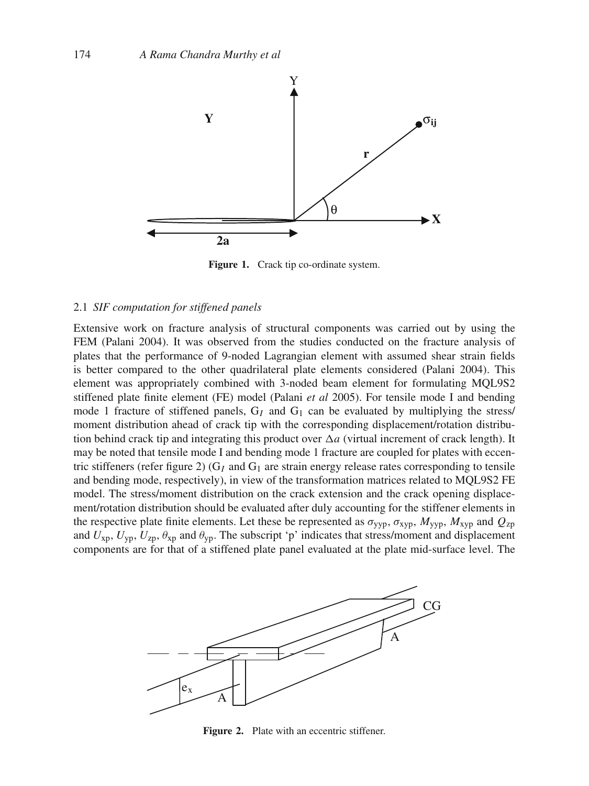

**Figure 1.** Crack tip co-ordinate system.

#### 2.1 *SIF computation for stiffened panels*

Extensive work on fracture analysis of structural components was carried out by using the FEM (Palani 2004). It was observed from the studies conducted on the fracture analysis of plates that the performance of 9-noded Lagrangian element with assumed shear strain fields is better compared to the other quadrilateral plate elements considered (Palani 2004). This element was appropriately combined with 3-noded beam element for formulating MQL9S2 stiffened plate finite element (FE) model (Palani *et al* 2005). For tensile mode I and bending mode 1 fracture of stiffened panels,  $G_I$  and  $G_I$  can be evaluated by multiplying the stress/ moment distribution ahead of crack tip with the corresponding displacement/rotation distribution behind crack tip and integrating this product over  $\Delta a$  (virtual increment of crack length). It may be noted that tensile mode I and bending mode 1 fracture are coupled for plates with eccentric stiffeners (refer figure 2) ( $G_I$  and  $G_I$  are strain energy release rates corresponding to tensile and bending mode, respectively), in view of the transformation matrices related to MQL9S2 FE model. The stress/moment distribution on the crack extension and the crack opening displacement/rotation distribution should be evaluated after duly accounting for the stiffener elements in the respective plate finite elements. Let these be represented as  $\sigma_{\text{yyp}}$ ,  $\sigma_{\text{xyp}}$ ,  $M_{\text{yyp}}$ ,  $M_{\text{xyp}}$  and  $Q_{\text{zp}}$ and  $U_{\text{xp}}, U_{\text{yp}}, U_{\text{zp}}, \theta_{\text{xp}}$  and  $\theta_{\text{yp}}$ . The subscript 'p' indicates that stress/moment and displacement components are for that of a stiffened plate panel evaluated at the plate mid-surface level. The



Figure 2. Plate with an eccentric stiffener.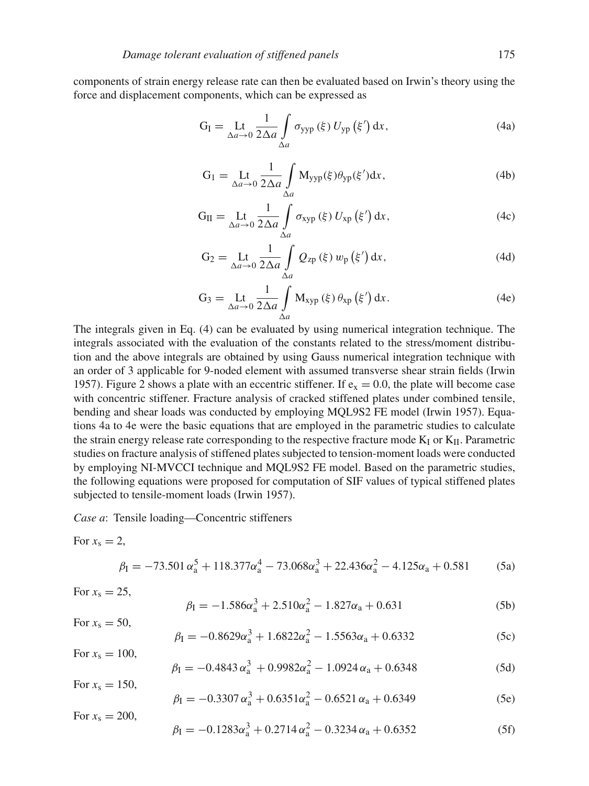components of strain energy release rate can then be evaluated based on Irwin's theory using the force and displacement components, which can be expressed as

$$
G_{I} = \mathop{\mathrm{Lt}}\limits_{\Delta a \to 0} \frac{1}{2\Delta a} \int\limits_{\Delta a} \sigma_{\text{yyp}}\left(\xi\right) U_{\text{yp}}\left(\xi'\right) \mathrm{d}x,\tag{4a}
$$

$$
G_1 = \underset{\Delta a \to 0}{\text{Lt}} \frac{1}{2\Delta a} \int_{\Delta a} M_{\text{yyp}}(\xi) \theta_{\text{yp}}(\xi') dx,
$$
 (4b)

$$
G_{II} = Lt_{\Delta a \to 0} \frac{1}{2\Delta a} \int_{\Delta a} \sigma_{xyp} (\xi) U_{xp} (\xi') dx, \qquad (4c)
$$

$$
G_2 = \text{Lt}_{\Delta a \to 0} \frac{1}{2\Delta a} \int_{\Delta a} Q_{zp}(\xi) w_p(\xi') dx,
$$
 (4d)

$$
G_3 = \text{Lt}_{\Delta a \to 0} \frac{1}{2\Delta a} \int_{\Delta a} M_{xyp}(\xi) \theta_{xp}(\xi') dx.
$$
 (4e)

The integrals given in Eq. (4) can be evaluated by using numerical integration technique. The integrals associated with the evaluation of the constants related to the stress/moment distribution and the above integrals are obtained by using Gauss numerical integration technique with an order of 3 applicable for 9-noded element with assumed transverse shear strain fields (Irwin 1957). Figure 2 shows a plate with an eccentric stiffener. If  $e_x = 0.0$ , the plate will become case with concentric stiffener. Fracture analysis of cracked stiffened plates under combined tensile, bending and shear loads was conducted by employing MQL9S2 FE model (Irwin 1957). Equations 4a to 4e were the basic equations that are employed in the parametric studies to calculate the strain energy release rate corresponding to the respective fracture mode  $K_I$  or  $K_{II}$ . Parametric studies on fracture analysis of stiffened plates subjected to tension-moment loads were conducted by employing NI-MVCCI technique and MQL9S2 FE model. Based on the parametric studies, the following equations were proposed for computation of SIF values of typical stiffened plates subjected to tensile-moment loads (Irwin 1957).

*Case a*: Tensile loading—Concentric stiffeners

For  $x_s = 2$ ,

$$
\beta_{\rm I} = -73.501 \alpha_{\rm a}^5 + 118.377 \alpha_{\rm a}^4 - 73.068 \alpha_{\rm a}^3 + 22.436 \alpha_{\rm a}^2 - 4.125 \alpha_{\rm a} + 0.581 \tag{5a}
$$

For 
$$
x_s = 25
$$
,  
\n $\beta_I = -1.586\alpha_a^3 + 2.510\alpha_a^2 - 1.827\alpha_a + 0.631$  (5b)  
\nFor  $x_s = 50$ ,  
\n $\beta_I = -0.8629\alpha_a^3 + 1.6822\alpha_a^2 - 1.5563\alpha_a + 0.6332$  (5c)  
\nFor  $x_s = 100$ ,  
\n $\beta_I = -0.4843\alpha_a^3 + 0.9982\alpha_a^2 - 1.0924\alpha_a + 0.6348$  (5d)  
\nFor  $x_s = 150$ ,  
\n $\beta_I = -0.3307\alpha_a^3 + 0.6351\alpha_a^2 - 0.6521\alpha_a + 0.6349$  (5e)  
\nFor  $x_s = 200$ ,

$$
\beta_{\rm I} = -0.1283\alpha_{\rm a}^3 + 0.2714\alpha_{\rm a}^2 - 0.3234\alpha_{\rm a} + 0.6352\tag{5f}
$$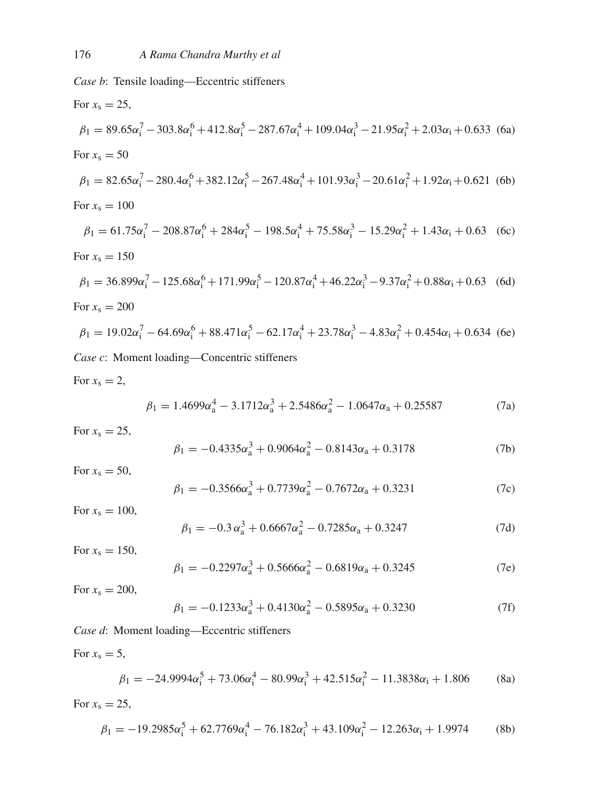*Case b*: Tensile loading—Eccentric stiffeners

For 
$$
x_s = 25
$$
,  
\n
$$
\beta_1 = 89.65\alpha_1^7 - 303.8\alpha_1^6 + 412.8\alpha_1^5 - 287.67\alpha_1^4 + 109.04\alpha_1^3 - 21.95\alpha_1^2 + 2.03\alpha_1 + 0.633
$$
 (6a)  
\nFor  $x_s = 50$   
\n
$$
\beta_1 = 82.65\alpha_1^7 - 280.4\alpha_1^6 + 382.12\alpha_1^5 - 267.48\alpha_1^4 + 101.93\alpha_1^3 - 20.61\alpha_1^2 + 1.92\alpha_1 + 0.621
$$
 (6b)  
\nFor  $x_s = 100$   
\n
$$
\beta_1 = 61.75\alpha_1^7 - 208.87\alpha_1^6 + 284\alpha_1^5 - 198.5\alpha_1^4 + 75.58\alpha_1^3 - 15.29\alpha_1^2 + 1.43\alpha_1 + 0.63
$$
 (6c)

$$
For x_s = 150
$$

$$
\beta_1 = 36.899\alpha_1^7 - 125.68\alpha_1^6 + 171.99\alpha_1^5 - 120.87\alpha_1^4 + 46.22\alpha_1^3 - 9.37\alpha_1^2 + 0.88\alpha_1 + 0.63
$$
 (6d)

$$
For x_s = 200
$$

$$
\beta_1 = 19.02\alpha_1^7 - 64.69\alpha_1^6 + 88.471\alpha_1^5 - 62.17\alpha_1^4 + 23.78\alpha_1^3 - 4.83\alpha_1^2 + 0.454\alpha_1 + 0.634
$$
 (6e)

*Case c*: Moment loading—Concentric stiffeners

For  $x_s = 2$ ,

$$
\beta_1 = 1.4699\alpha_a^4 - 3.1712\alpha_a^3 + 2.5486\alpha_a^2 - 1.0647\alpha_a + 0.25587\tag{7a}
$$

For  $x_s = 25$ ,

$$
\beta_1 = -0.4335\alpha_a^3 + 0.9064\alpha_a^2 - 0.8143\alpha_a + 0.3178\tag{7b}
$$

For  $x_s = 50$ ,

$$
\beta_1 = -0.3566\alpha_a^3 + 0.7739\alpha_a^2 - 0.7672\alpha_a + 0.3231\tag{7c}
$$

For  $x_s = 100$ ,

$$
\beta_1 = -0.3 \alpha_a^3 + 0.6667 \alpha_a^2 - 0.7285 \alpha_a + 0.3247 \tag{7d}
$$

For  $x_s = 150$ ,

$$
\beta_1 = -0.2297\alpha_a^3 + 0.5666\alpha_a^2 - 0.6819\alpha_a + 0.3245\tag{7e}
$$

For  $x_s = 200$ ,

$$
\beta_1 = -0.1233\alpha_a^3 + 0.4130\alpha_a^2 - 0.5895\alpha_a + 0.3230\tag{7f}
$$

*Case d*: Moment loading—Eccentric stiffeners

For  $x_s = 5$ ,

$$
\beta_1 = -24.9994\alpha_1^5 + 73.06\alpha_1^4 - 80.99\alpha_1^3 + 42.515\alpha_1^2 - 11.3838\alpha_1 + 1.806
$$
 (8a)

For  $x_s = 25$ ,

$$
\beta_1 = -19.2985\alpha_i^5 + 62.7769\alpha_i^4 - 76.182\alpha_i^3 + 43.109\alpha_i^2 - 12.263\alpha_i + 1.9974
$$
 (8b)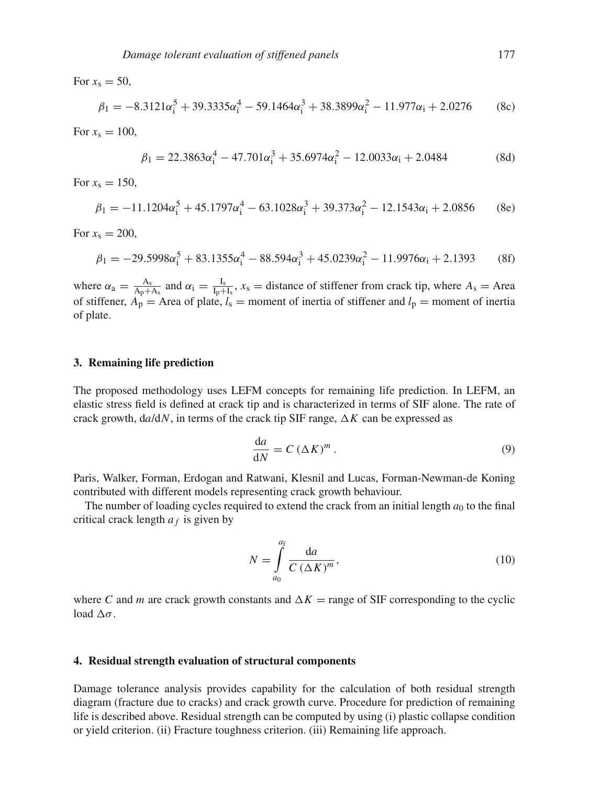For  $x_s = 50$ ,

$$
\beta_1 = -8.3121\alpha_1^5 + 39.3335\alpha_1^4 - 59.1464\alpha_1^3 + 38.3899\alpha_1^2 - 11.977\alpha_1 + 2.0276
$$
 (8c)

For  $x_s = 100$ ,

$$
\beta_1 = 22.3863\alpha_i^4 - 47.701\alpha_i^3 + 35.6974\alpha_i^2 - 12.0033\alpha_i + 2.0484\tag{8d}
$$

For  $x_s = 150$ ,

$$
\beta_1 = -11.1204\alpha_1^5 + 45.1797\alpha_1^4 - 63.1028\alpha_1^3 + 39.373\alpha_1^2 - 12.1543\alpha_1 + 2.0856
$$
 (8e)

For  $x_s = 200$ ,

$$
\beta_1 = -29.5998\alpha_1^5 + 83.1355\alpha_1^4 - 88.594\alpha_1^3 + 45.0239\alpha_1^2 - 11.9976\alpha_1 + 2.1393
$$
 (8f)

where  $\alpha_a = \frac{A_s}{A_p + A_s}$  and  $\alpha_i = \frac{I_s}{I_p + I_s}$ ,  $x_s$  = distance of stiffener from crack tip, where  $A_s$  = Area of stiffener,  $A_p$  = Area of plate,  $l_s$  = moment of inertia of stiffener and  $l_p$  = moment of inertia of plate.

#### **3. Remaining life prediction**

The proposed methodology uses LEFM concepts for remaining life prediction. In LEFM, an elastic stress field is defined at crack tip and is characterized in terms of SIF alone. The rate of crack growth,  $da/dN$ , in terms of the crack tip SIF range,  $\Delta K$  can be expressed as

$$
\frac{\mathrm{d}a}{\mathrm{d}N} = C \left(\Delta K\right)^m. \tag{9}
$$

Paris, Walker, Forman, Erdogan and Ratwani, Klesnil and Lucas, Forman-Newman-de Koning contributed with different models representing crack growth behaviour.

The number of loading cycles required to extend the crack from an initial length  $a_0$  to the final critical crack length  $a_f$  is given by

$$
N = \int_{a_0}^{a_f} \frac{\mathrm{d}a}{C \left(\Delta K\right)^m},\tag{10}
$$

where *C* and *m* are crack growth constants and  $\Delta K$  = range of SIF corresponding to the cyclic load  $\Delta \sigma$ .

# **4. Residual strength evaluation of structural components**

Damage tolerance analysis provides capability for the calculation of both residual strength diagram (fracture due to cracks) and crack growth curve. Procedure for prediction of remaining life is described above. Residual strength can be computed by using (i) plastic collapse condition or yield criterion. (ii) Fracture toughness criterion. (iii) Remaining life approach.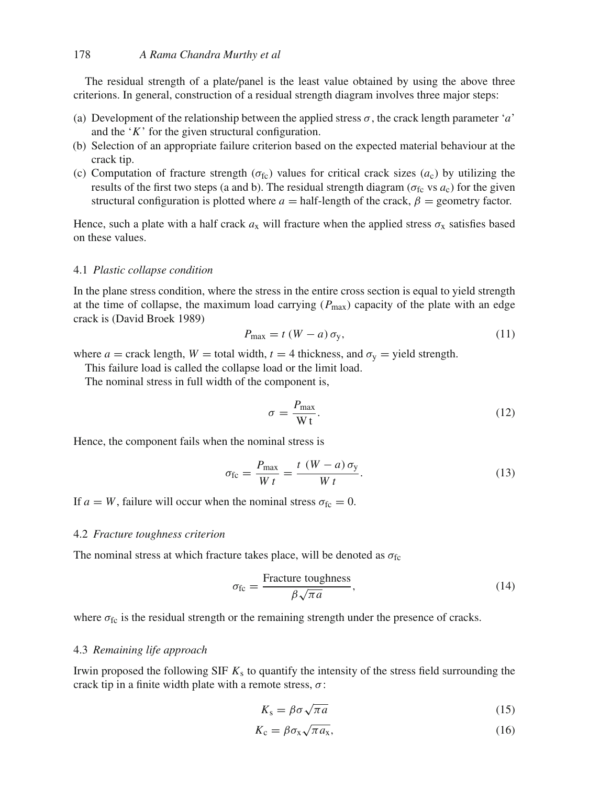The residual strength of a plate/panel is the least value obtained by using the above three criterions. In general, construction of a residual strength diagram involves three major steps:

- (a) Development of the relationship between the applied stress  $\sigma$ , the crack length parameter '*a*' and the '*K*' for the given structural configuration.
- (b) Selection of an appropriate failure criterion based on the expected material behaviour at the crack tip.
- (c) Computation of fracture strength ( $\sigma_{\rm fc}$ ) values for critical crack sizes ( $a_{\rm c}$ ) by utilizing the results of the first two steps (a and b). The residual strength diagram ( $\sigma_{\rm fc}$  vs  $a_{\rm c}$ ) for the given structural configuration is plotted where  $a = \text{half-length of the crack}, \beta = \text{geometry factor}.$

Hence, such a plate with a half crack  $a_x$  will fracture when the applied stress  $\sigma_x$  satisfies based on these values.

#### 4.1 *Plastic collapse condition*

In the plane stress condition, where the stress in the entire cross section is equal to yield strength at the time of collapse, the maximum load carrying  $(P_{\text{max}})$  capacity of the plate with an edge crack is (David Broek 1989)

$$
P_{\text{max}} = t \left( W - a \right) \sigma_{\text{y}},\tag{11}
$$

where  $a =$  crack length,  $W =$  total width,  $t = 4$  thickness, and  $\sigma<sub>v</sub> =$  yield strength.

This failure load is called the collapse load or the limit load.

The nominal stress in full width of the component is,

$$
\sigma = \frac{P_{\text{max}}}{\text{Wt}}.\tag{12}
$$

Hence, the component fails when the nominal stress is

$$
\sigma_{\text{fc}} = \frac{P_{\text{max}}}{W t} = \frac{t (W - a) \sigma_{\text{y}}}{W t}.
$$
\n(13)

If  $a = W$ , failure will occur when the nominal stress  $\sigma_{\text{fc}} = 0$ .

#### 4.2 *Fracture toughness criterion*

The nominal stress at which fracture takes place, will be denoted as  $\sigma_{\text{fc}}$ 

$$
\sigma_{\text{fc}} = \frac{\text{Fracture toughness}}{\beta \sqrt{\pi a}},\tag{14}
$$

where  $\sigma_{\text{fc}}$  is the residual strength or the remaining strength under the presence of cracks.

#### 4.3 *Remaining life approach*

Irwin proposed the following SIF *K*<sup>s</sup> to quantify the intensity of the stress field surrounding the crack tip in a finite width plate with a remote stress,  $\sigma$ :

$$
K_{\rm s} = \beta \sigma \sqrt{\pi a} \tag{15}
$$

$$
K_{\rm c} = \beta \sigma_{\rm x} \sqrt{\pi a_{\rm x}},\tag{16}
$$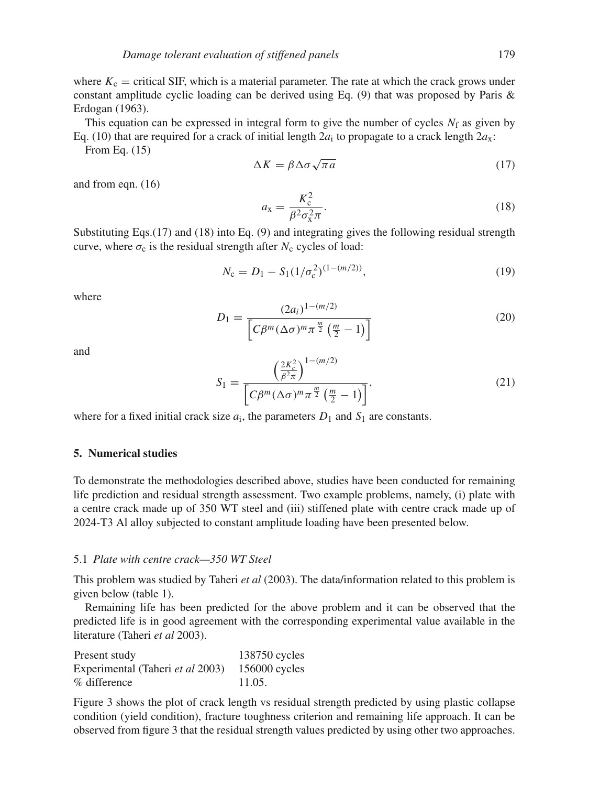where  $K_c$  = critical SIF, which is a material parameter. The rate at which the crack grows under constant amplitude cyclic loading can be derived using Eq.  $(9)$  that was proposed by Paris & Erdogan (1963).

This equation can be expressed in integral form to give the number of cycles  $N_f$  as given by Eq. (10) that are required for a crack of initial length  $2a_i$  to propagate to a crack length  $2a_x$ :

From Eq. (15)

$$
\Delta K = \beta \Delta \sigma \sqrt{\pi a} \tag{17}
$$

and from eqn. (16)

$$
a_{x} = \frac{K_{c}^{2}}{\beta^{2} \sigma_{x}^{2} \pi}.
$$
\n(18)

Substituting Eqs.(17) and (18) into Eq. (9) and integrating gives the following residual strength curve, where  $\sigma_c$  is the residual strength after  $N_c$  cycles of load:

$$
N_{\rm c} = D_1 - S_1 (1/\sigma_{\rm c}^2)^{(1 - (m/2))},\tag{19}
$$

where

$$
D_1 = \frac{(2a_i)^{1 - (m/2)}}{\left[C\beta^m (\Delta \sigma)^m \pi^{\frac{m}{2}} \left(\frac{m}{2} - 1\right)\right]}
$$
(20)

and

$$
S_1 = \frac{\left(\frac{2K_c^2}{\beta^2 \pi}\right)^{1-(m/2)}}{\left[C\beta^m (\Delta \sigma)^m \pi^{\frac{m}{2}} \left(\frac{m}{2} - 1\right)\right]},\tag{21}
$$

where for a fixed initial crack size  $a_i$ , the parameters  $D_1$  and  $S_1$  are constants.

#### **5. Numerical studies**

To demonstrate the methodologies described above, studies have been conducted for remaining life prediction and residual strength assessment. Two example problems, namely, (i) plate with a centre crack made up of 350 WT steel and (iii) stiffened plate with centre crack made up of 2024-T3 Al alloy subjected to constant amplitude loading have been presented below.

### 5.1 *Plate with centre crack—350 WT Steel*

This problem was studied by Taheri *et al* (2003). The data/information related to this problem is given below (table 1).

Remaining life has been predicted for the above problem and it can be observed that the predicted life is in good agreement with the corresponding experimental value available in the literature (Taheri *et al* 2003).

| Present study                           | 138750 cycles |
|-----------------------------------------|---------------|
| Experimental (Taheri <i>et al</i> 2003) | 156000 cycles |
| % difference                            | 11.05.        |

Figure 3 shows the plot of crack length vs residual strength predicted by using plastic collapse condition (yield condition), fracture toughness criterion and remaining life approach. It can be observed from figure 3 that the residual strength values predicted by using other two approaches.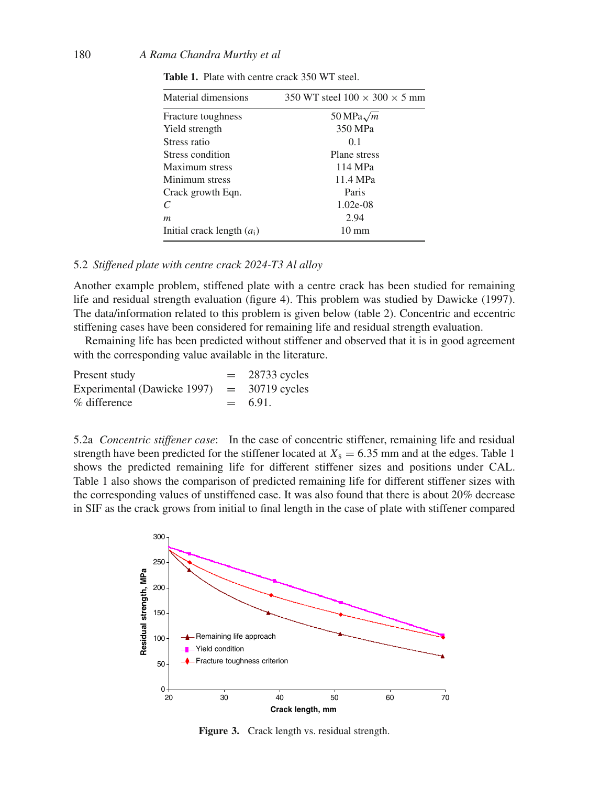| Material dimensions          | 350 WT steel $100 \times 300 \times 5$ mm |
|------------------------------|-------------------------------------------|
| Fracture toughness           | 50 MPa $\sqrt{m}$                         |
| Yield strength               | 350 MPa                                   |
| Stress ratio                 | 0.1                                       |
| Stress condition             | Plane stress                              |
| Maximum stress               | 114 MPa                                   |
| Minimum stress               | 11.4 MPa                                  |
| Crack growth Eqn.            | Paris                                     |
| C                            | $1.02e-08$                                |
| $\boldsymbol{m}$             | 2.94                                      |
| Initial crack length $(a_i)$ | 10 mm                                     |

**Table 1.** Plate with centre crack 350 WT steel.

# 5.2 *Stiffened plate with centre crack 2024-T3 Al alloy*

Another example problem, stiffened plate with a centre crack has been studied for remaining life and residual strength evaluation (figure 4). This problem was studied by Dawicke (1997). The data/information related to this problem is given below (table 2). Concentric and eccentric stiffening cases have been considered for remaining life and residual strength evaluation.

Remaining life has been predicted without stiffener and observed that it is in good agreement with the corresponding value available in the literature.

| Present study                                | $= 28733$ cycles |
|----------------------------------------------|------------------|
| Experimental (Dawicke 1997) $=$ 30719 cycles |                  |
| % difference                                 | $= 6.91.$        |

5.2a *Concentric stiffener case*: In the case of concentric stiffener, remaining life and residual strength have been predicted for the stiffener located at  $X_s = 6.35$  mm and at the edges. Table 1 shows the predicted remaining life for different stiffener sizes and positions under CAL. Table 1 also shows the comparison of predicted remaining life for different stiffener sizes with the corresponding values of unstiffened case. It was also found that there is about 20% decrease in SIF as the crack grows from initial to final length in the case of plate with stiffener compared



**Figure 3.** Crack length vs. residual strength.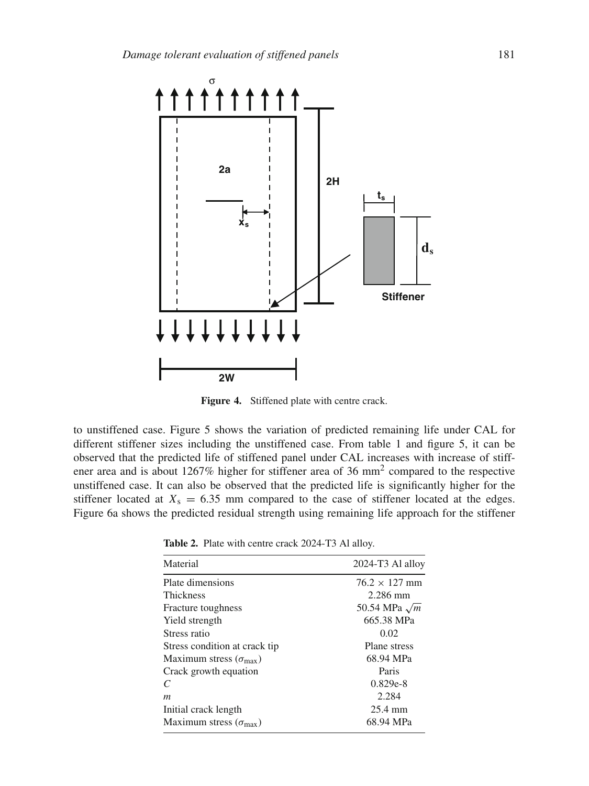

**Figure 4.** Stiffened plate with centre crack.

to unstiffened case. Figure 5 shows the variation of predicted remaining life under CAL for different stiffener sizes including the unstiffened case. From table 1 and figure 5, it can be observed that the predicted life of stiffened panel under CAL increases with increase of stiffener area and is about 1267% higher for stiffener area of 36 mm<sup>2</sup> compared to the respective unstiffened case. It can also be observed that the predicted life is significantly higher for the stiffener located at  $X_s = 6.35$  mm compared to the case of stiffener located at the edges. Figure 6a shows the predicted residual strength using remaining life approach for the stiffener

**Table 2.** Plate with centre crack 2024-T3 Al alloy.

| Material                                 | 2024-T3 Al alloy     |
|------------------------------------------|----------------------|
| Plate dimensions                         | $76.2 \times 127$ mm |
| <b>Thickness</b>                         | 2.286 mm             |
| Fracture toughness                       | 50.54 MPa $\sqrt{m}$ |
| Yield strength                           | 665.38 MPa           |
| Stress ratio                             | 0.02                 |
| Stress condition at crack tip            | Plane stress         |
| Maximum stress ( $\sigma_{\text{max}}$ ) | 68.94 MPa            |
| Crack growth equation                    | Paris                |
| C                                        | $0.829e-8$           |
| $\boldsymbol{m}$                         | 2.284                |
| Initial crack length                     | 25.4 mm              |
| Maximum stress ( $\sigma_{\text{max}}$ ) | 68.94 MPa            |
|                                          |                      |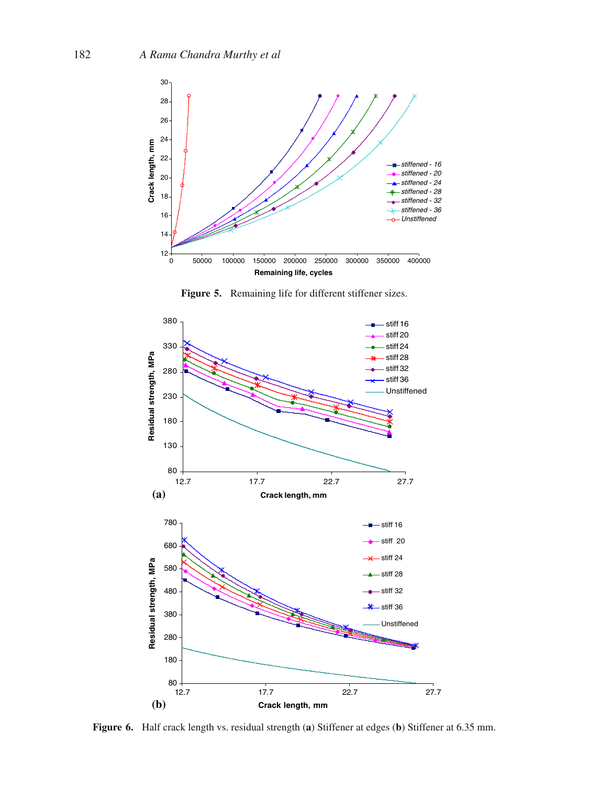

Figure 5. Remaining life for different stiffener sizes.



**Figure 6.** Half crack length vs. residual strength (**a**) Stiffener at edges (**b**) Stiffener at 6.35 mm.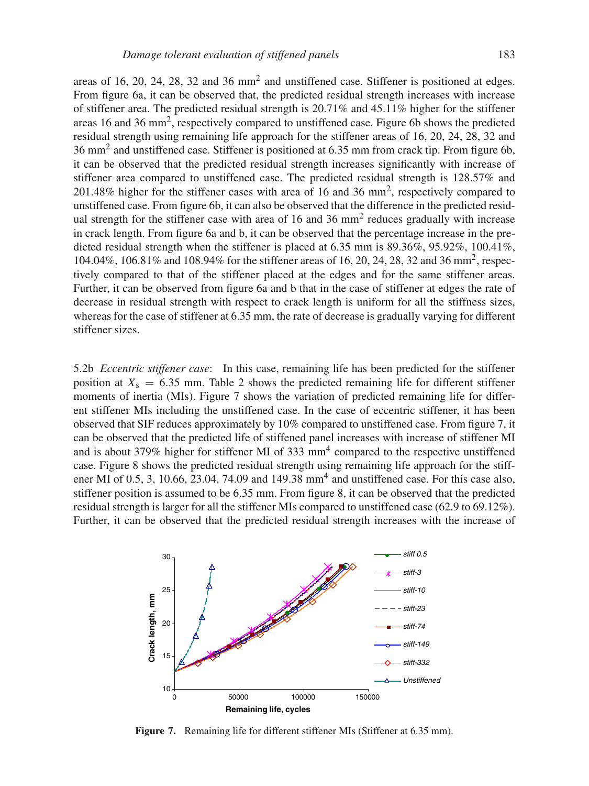areas of 16, 20, 24, 28, 32 and 36 mm<sup>2</sup> and unstiffened case. Stiffener is positioned at edges. From figure 6a, it can be observed that, the predicted residual strength increases with increase of stiffener area. The predicted residual strength is 20.71% and 45.11% higher for the stiffener areas 16 and 36 mm2, respectively compared to unstiffened case. Figure 6b shows the predicted residual strength using remaining life approach for the stiffener areas of 16, 20, 24, 28, 32 and 36 mm<sup>2</sup> and unstiffened case. Stiffener is positioned at 6.35 mm from crack tip. From figure 6b, it can be observed that the predicted residual strength increases significantly with increase of stiffener area compared to unstiffened case. The predicted residual strength is 128.57% and 201.48% higher for the stiffener cases with area of 16 and 36 mm2, respectively compared to unstiffened case. From figure 6b, it can also be observed that the difference in the predicted residual strength for the stiffener case with area of 16 and 36  $\text{mm}^2$  reduces gradually with increase in crack length. From figure 6a and b, it can be observed that the percentage increase in the predicted residual strength when the stiffener is placed at 6.35 mm is 89.36%, 95.92%, 100.41%, 104.04%, 106.81% and 108.94% for the stiffener areas of 16, 20, 24, 28, 32 and 36 mm<sup>2</sup>, respectively compared to that of the stiffener placed at the edges and for the same stiffener areas. Further, it can be observed from figure 6a and b that in the case of stiffener at edges the rate of decrease in residual strength with respect to crack length is uniform for all the stiffness sizes, whereas for the case of stiffener at 6.35 mm, the rate of decrease is gradually varying for different stiffener sizes.

5.2b *Eccentric stiffener case*: In this case, remaining life has been predicted for the stiffener position at  $X_s = 6.35$  mm. Table 2 shows the predicted remaining life for different stiffener moments of inertia (MIs). Figure 7 shows the variation of predicted remaining life for different stiffener MIs including the unstiffened case. In the case of eccentric stiffener, it has been observed that SIF reduces approximately by 10% compared to unstiffened case. From figure 7, it can be observed that the predicted life of stiffened panel increases with increase of stiffener MI and is about 379% higher for stiffener MI of 333  $\text{mm}^4$  compared to the respective unstiffened case. Figure 8 shows the predicted residual strength using remaining life approach for the stiffener MI of 0.5, 3, 10.66, 23.04, 74.09 and 149.38  $mm<sup>4</sup>$  and unstiffened case. For this case also, stiffener position is assumed to be 6.35 mm. From figure 8, it can be observed that the predicted residual strength is larger for all the stiffener MIs compared to unstiffened case (62.9 to 69.12%). Further, it can be observed that the predicted residual strength increases with the increase of



Figure 7. Remaining life for different stiffener MIs (Stiffener at 6.35 mm).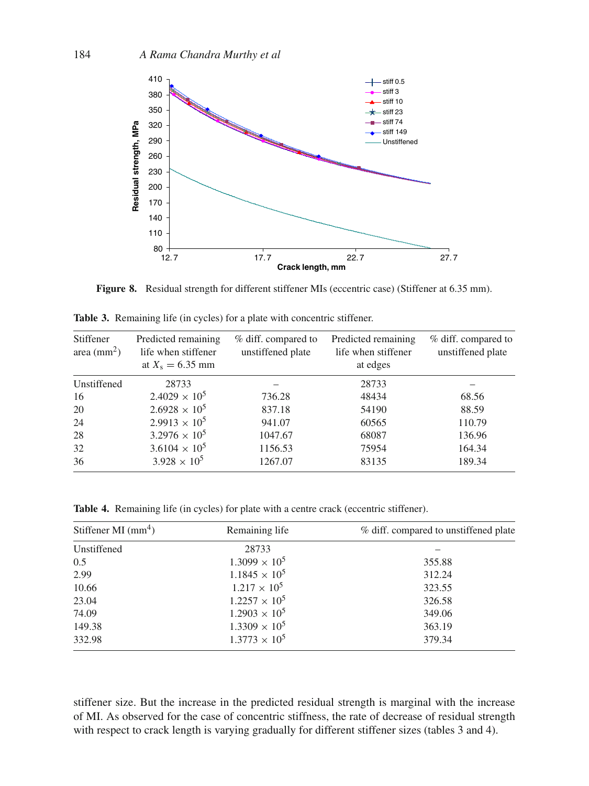

Figure 8. Residual strength for different stiffener MIs (eccentric case) (Stiffener at 6.35 mm).

| Stiffener<br>area $\text{(mm}^2)$ | Predicted remaining<br>life when stiffener<br>at $X_s = 6.35$ mm | % diff. compared to<br>unstiffened plate | Predicted remaining<br>life when stiffener<br>at edges | % diff. compared to<br>unstiffened plate |
|-----------------------------------|------------------------------------------------------------------|------------------------------------------|--------------------------------------------------------|------------------------------------------|
| Unstiffened                       | 28733                                                            |                                          | 28733                                                  |                                          |
| 16                                | $2.4029 \times 10^5$                                             | 736.28                                   | 48434                                                  | 68.56                                    |
| 20                                | $2.6928 \times 10^5$                                             | 837.18                                   | 54190                                                  | 88.59                                    |
| 24                                | $2.9913 \times 10^5$                                             | 941.07                                   | 60565                                                  | 110.79                                   |
| 28                                | $3.2976 \times 10^5$                                             | 1047.67                                  | 68087                                                  | 136.96                                   |
| 32                                | $3.6104 \times 10^5$                                             | 1156.53                                  | 75954                                                  | 164.34                                   |
| 36                                | $3.928 \times 10^5$                                              | 1267.07                                  | 83135                                                  | 189.34                                   |

**Table 3.** Remaining life (in cycles) for a plate with concentric stiffener.

**Table 4.** Remaining life (in cycles) for plate with a centre crack (eccentric stiffener).

| Stiffener MI $(mm4)$ | Remaining life       | % diff. compared to unstiffened plate |
|----------------------|----------------------|---------------------------------------|
| Unstiffened          | 28733                |                                       |
| 0.5                  | $1.3099 \times 10^5$ | 355.88                                |
| 2.99                 | $1.1845 \times 10^5$ | 312.24                                |
| 10.66                | $1.217 \times 10^5$  | 323.55                                |
| 23.04                | $1.2257 \times 10^5$ | 326.58                                |
| 74.09                | $1.2903 \times 10^5$ | 349.06                                |
| 149.38               | $1.3309 \times 10^5$ | 363.19                                |
| 332.98               | $1.3773 \times 10^5$ | 379.34                                |

stiffener size. But the increase in the predicted residual strength is marginal with the increase of MI. As observed for the case of concentric stiffness, the rate of decrease of residual strength with respect to crack length is varying gradually for different stiffener sizes (tables 3 and 4).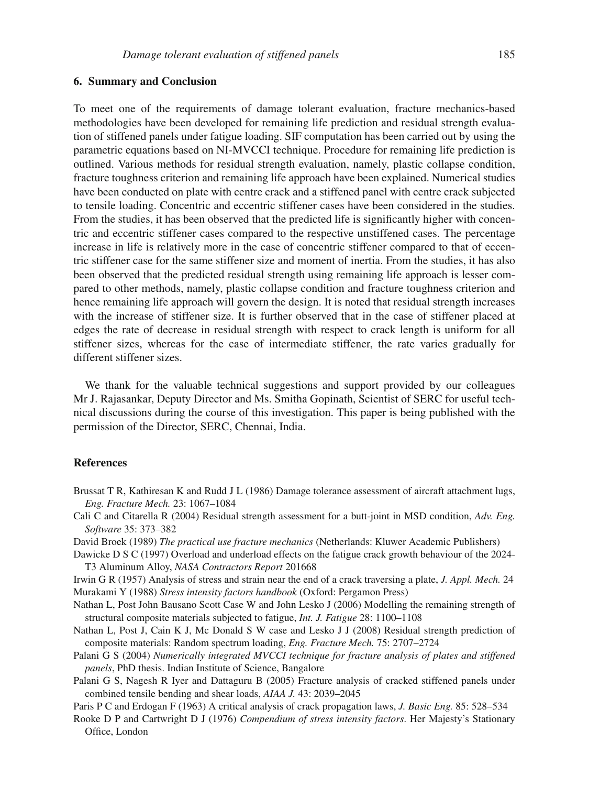# **6. Summary and Conclusion**

To meet one of the requirements of damage tolerant evaluation, fracture mechanics-based methodologies have been developed for remaining life prediction and residual strength evaluation of stiffened panels under fatigue loading. SIF computation has been carried out by using the parametric equations based on NI-MVCCI technique. Procedure for remaining life prediction is outlined. Various methods for residual strength evaluation, namely, plastic collapse condition, fracture toughness criterion and remaining life approach have been explained. Numerical studies have been conducted on plate with centre crack and a stiffened panel with centre crack subjected to tensile loading. Concentric and eccentric stiffener cases have been considered in the studies. From the studies, it has been observed that the predicted life is significantly higher with concentric and eccentric stiffener cases compared to the respective unstiffened cases. The percentage increase in life is relatively more in the case of concentric stiffener compared to that of eccentric stiffener case for the same stiffener size and moment of inertia. From the studies, it has also been observed that the predicted residual strength using remaining life approach is lesser compared to other methods, namely, plastic collapse condition and fracture toughness criterion and hence remaining life approach will govern the design. It is noted that residual strength increases with the increase of stiffener size. It is further observed that in the case of stiffener placed at edges the rate of decrease in residual strength with respect to crack length is uniform for all stiffener sizes, whereas for the case of intermediate stiffener, the rate varies gradually for different stiffener sizes.

We thank for the valuable technical suggestions and support provided by our colleagues Mr J. Rajasankar, Deputy Director and Ms. Smitha Gopinath, Scientist of SERC for useful technical discussions during the course of this investigation. This paper is being published with the permission of the Director, SERC, Chennai, India.

# **References**

- Brussat T R, Kathiresan K and Rudd J L (1986) Damage tolerance assessment of aircraft attachment lugs, *Eng. Fracture Mech.* 23: 1067–1084
- Cali C and Citarella R (2004) Residual strength assessment for a butt-joint in MSD condition, *Adv. Eng. Software* 35: 373–382
- David Broek (1989) *The practical use fracture mechanics* (Netherlands: Kluwer Academic Publishers)
- Dawicke D S C (1997) Overload and underload effects on the fatigue crack growth behaviour of the 2024- T3 Aluminum Alloy, *NASA Contractors Report* 201668
- Irwin G R (1957) Analysis of stress and strain near the end of a crack traversing a plate, *J. Appl. Mech.* 24 Murakami Y (1988) *Stress intensity factors handbook* (Oxford: Pergamon Press)
- Nathan L, Post John Bausano Scott Case W and John Lesko J (2006) Modelling the remaining strength of structural composite materials subjected to fatigue, *Int. J. Fatigue* 28: 1100–1108
- Nathan L, Post J, Cain K J, Mc Donald S W case and Lesko J J (2008) Residual strength prediction of composite materials: Random spectrum loading, *Eng. Fracture Mech.* 75: 2707–2724
- Palani G S (2004) *Numerically integrated MVCCI technique for fracture analysis of plates and stiffened panels*, PhD thesis. Indian Institute of Science, Bangalore
- Palani G S, Nagesh R Iyer and Dattaguru B (2005) Fracture analysis of cracked stiffened panels under combined tensile bending and shear loads, *AIAA J.* 43: 2039–2045
- Paris P C and Erdogan F (1963) A critical analysis of crack propagation laws, *J. Basic Eng.* 85: 528–534
- Rooke D P and Cartwright D J (1976) *Compendium of stress intensity factors*. Her Majesty's Stationary Office, London